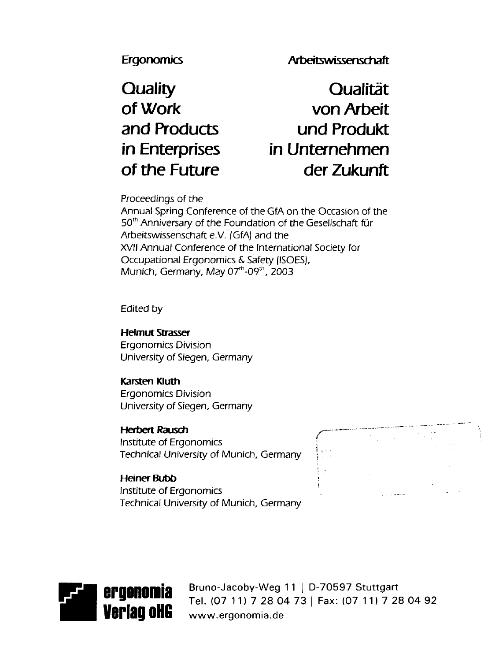Ergonomics Arbeitswissenschaft

**Quality Qualitat of Work von Arbeit and Products und Produkt in Enterprises in Unternehmen of the Future der Zukunft**

Proceedings of the

Annual Spring Conference of the GfA on the Occasion of the 50<sup>th</sup> Anniversary of the Foundation of the Gesellschaft für Arbeitswissenschaft e.V. (GfA) and the XVII Annual Conference of the International Society for Occupational Ergonomics & Safety (ISOES), Munich, Germany, May 07<sup>th</sup>-09<sup>th</sup>, 2003

Edited by

**Helmut Strasser** Ergonomics Division University of Siegen, Germany

**Karsten Kluth** Ergonomics Division University of Siegen, Germany

**Herbert Rausch** Institute of Ergonomics , Technical University of Munich, Germany

**Heiner Bubb** Institute of Ergonomics Technical University of Munich, Germany





Bruno-Jacoby-Weg 11 j D-70597 Stuttgart Tel. (07 11) 7 28 04 73 | Fax: (07 11) 7 28 04 92 **Verlag oliget www.ergonomia.de**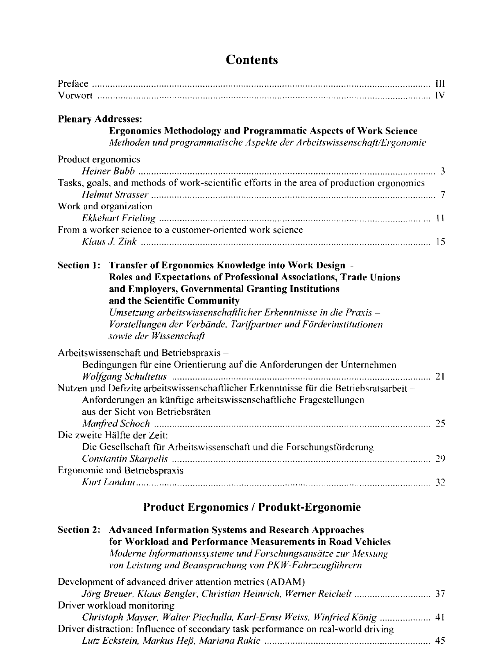| <b>Plenary Addresses:</b><br><b>Ergonomics Methodology and Programmatic Aspects of Work Science</b><br>Methoden und programmatische Aspekte der Arbeitswissenschaft/Ergonomie                                                                                                                                                                                                             |    |
|-------------------------------------------------------------------------------------------------------------------------------------------------------------------------------------------------------------------------------------------------------------------------------------------------------------------------------------------------------------------------------------------|----|
| Product ergonomics<br>Tasks, goals, and methods of work-scientific efforts in the area of production ergonomics<br>Work and organization<br>From a worker science to a customer-oriented work science                                                                                                                                                                                     |    |
| Section 1: Transfer of Ergonomics Knowledge into Work Design -<br>Roles and Expectations of Professional Associations, Trade Unions<br>and Employers, Governmental Granting Institutions<br>and the Scientific Community<br>Umsetzung arbeitswissenschaftlicher Erkenntnisse in die Praxis-<br>Vorstellungen der Verbände, Tarifpartner und Förderinstitutionen<br>sowie der Wissenschaft |    |
| Arbeitswissenschaft und Betriebspraxis-<br>Bedingungen für eine Orientierung auf die Anforderungen der Unternehmen<br>Nutzen und Defizite arbeitswissenschaftlicher Erkenntnisse für die Betriebsratsarbeit-<br>Anforderungen an künftige arbeitswissenschaftliche Fragestellungen<br>aus der Sicht von Betriebsräten                                                                     |    |
| Die zweite Hälfte der Zeit:                                                                                                                                                                                                                                                                                                                                                               |    |
| Die Gesellschaft für Arbeitswissenschaft und die Forschungsförderung                                                                                                                                                                                                                                                                                                                      | 29 |
| Ergonomie und Betriebspraxis                                                                                                                                                                                                                                                                                                                                                              |    |
| <b>Product Ergonomics / Produkt-Ergonomie</b>                                                                                                                                                                                                                                                                                                                                             |    |

# **Contents**

| Development of advanced driver attention metrics (ADAM)                           |  |
|-----------------------------------------------------------------------------------|--|
|                                                                                   |  |
| Driver workload monitoring                                                        |  |
| Christoph Mayser, Walter Piechulla, Karl-Ernst Weiss, Winfried König  41          |  |
| Driver distraction: Influence of secondary task performance on real-world driving |  |
|                                                                                   |  |

**for Workload and Performance Measurements in Road Vehicles** *Moderne Informationssvsteme und Forschungsansatze zur Messung von Leistung und Beanspruchung von PKW-Fahrzeugfiihrern*

**Section 2: Advanced Information Systems and Research Approaches**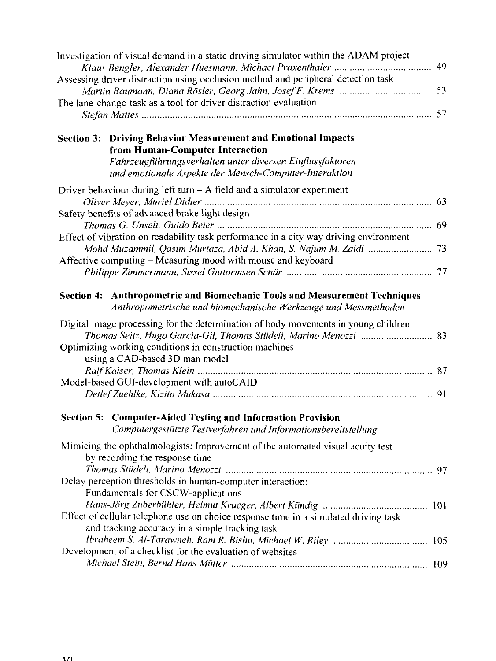| Investigation of visual demand in a static driving simulator within the ADAM project                                                                    |  |
|---------------------------------------------------------------------------------------------------------------------------------------------------------|--|
|                                                                                                                                                         |  |
| Assessing driver distraction using occlusion method and peripheral detection task                                                                       |  |
|                                                                                                                                                         |  |
| The lane-change-task as a tool for driver distraction evaluation                                                                                        |  |
|                                                                                                                                                         |  |
| <b>Section 3: Driving Behavior Measurement and Emotional Impacts</b>                                                                                    |  |
| from Human-Computer Interaction                                                                                                                         |  |
| Fahrzeugführungsverhalten unter diversen Einflussfaktoren                                                                                               |  |
| und emotionale Aspekte der Mensch-Computer-Interaktion                                                                                                  |  |
| Driver behaviour during left turn $-$ A field and a simulator experiment                                                                                |  |
|                                                                                                                                                         |  |
| Safety benefits of advanced brake light design                                                                                                          |  |
|                                                                                                                                                         |  |
| Effect of vibration on readability task performance in a city way driving environment                                                                   |  |
|                                                                                                                                                         |  |
| Affective computing - Measuring mood with mouse and keyboard                                                                                            |  |
|                                                                                                                                                         |  |
|                                                                                                                                                         |  |
| Anthropometric and Biomechanic Tools and Measurement Techniques<br><b>Section 4:</b><br>Anthropometrische und biomechanische Werkzeuge und Messmethoden |  |
| Digital image processing for the determination of body movements in young children                                                                      |  |
|                                                                                                                                                         |  |
| Optimizing working conditions in construction machines                                                                                                  |  |
| using a CAD-based 3D man model                                                                                                                          |  |
|                                                                                                                                                         |  |
| Model-based GUI-development with autoCAID                                                                                                               |  |
|                                                                                                                                                         |  |
|                                                                                                                                                         |  |
| Section 5: Computer-Aided Testing and Information Provision<br>Computergestützte Testverfahren und Informationsbereitstellung                           |  |
|                                                                                                                                                         |  |
| Mimicing the ophthalmologists: Improvement of the automated visual acuity test                                                                          |  |
| by recording the response time                                                                                                                          |  |
|                                                                                                                                                         |  |
| Delay perception thresholds in human-computer interaction:                                                                                              |  |
| Fundamentals for CSCW-applications                                                                                                                      |  |
|                                                                                                                                                         |  |
| Effect of cellular telephone use on choice response time in a simulated driving task                                                                    |  |
| and tracking accuracy in a simple tracking task                                                                                                         |  |
|                                                                                                                                                         |  |
| Development of a checklist for the evaluation of websites                                                                                               |  |
|                                                                                                                                                         |  |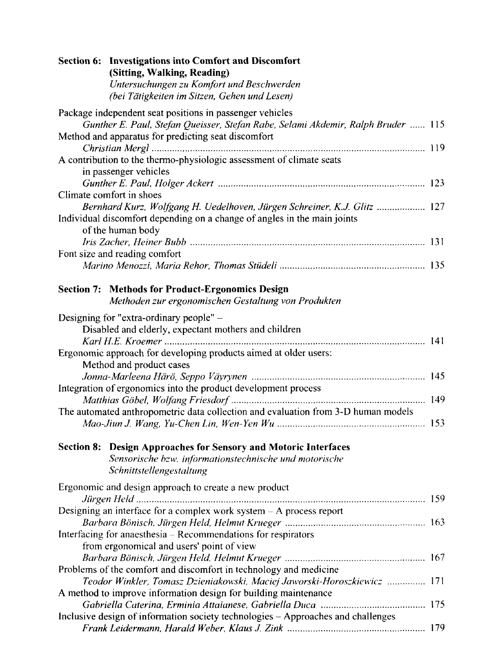| Section 6: Investigations into Comfort and Discomfort<br>(Sitting, Walking, Reading)<br>Untersuchungen zu Komfort und Beschwerden<br>(bei Tätigkeiten im Sitzen, Gehen und Lesen) |  |
|-----------------------------------------------------------------------------------------------------------------------------------------------------------------------------------|--|
| Package independent seat positions in passenger vehicles<br>Gunther E. Paul, Stefan Queisser, Stefan Rabe, Selami Akdemir, Ralph Bruder  115                                      |  |
| Method and apparatus for predicting seat discomfort                                                                                                                               |  |
|                                                                                                                                                                                   |  |
| A contribution to the thermo-physiologic assessment of climate seats<br>in passenger vehicles                                                                                     |  |
| Climate comfort in shoes                                                                                                                                                          |  |
| Bernhard Kurz, Wolfgang H. Uedelhoven, Jürgen Schreiner, K.J. Glitz  127                                                                                                          |  |
| Individual discomfort depending on a change of angles in the main joints<br>of the human body                                                                                     |  |
|                                                                                                                                                                                   |  |
| Font size and reading comfort                                                                                                                                                     |  |
| <b>Section 7: Methods for Product-Ergonomics Design</b><br>Methoden zur ergonomischen Gestaltung von Produkten                                                                    |  |
| Designing for "extra-ordinary people" -                                                                                                                                           |  |
| Disabled and elderly, expectant mothers and children                                                                                                                              |  |
|                                                                                                                                                                                   |  |
| Ergonomic approach for developing products aimed at older users:<br>Method and product cases                                                                                      |  |
|                                                                                                                                                                                   |  |
| Integration of ergonomics into the product development process                                                                                                                    |  |
| The automated anthropometric data collection and evaluation from 3-D human models                                                                                                 |  |
|                                                                                                                                                                                   |  |
| Section 8: Design Approaches for Sensory and Motoric Interfaces<br>Sensorische bzw. informationstechnische und motorische<br>Schnittstellengestaltung                             |  |
| Ergonomic and design approach to create a new product                                                                                                                             |  |
|                                                                                                                                                                                   |  |
| Designing an interface for a complex work system - A process report                                                                                                               |  |
| Barbara Bönisch, Jürgen Held, Helmut Krueger ……………………………………………… 163<br>Interfacing for anaesthesia - Recommendations for respirators                                              |  |
| from ergonomical and users' point of view                                                                                                                                         |  |
|                                                                                                                                                                                   |  |
| Problems of the comfort and discomfort in technology and medicine                                                                                                                 |  |
| Teodor Winkler, Tomasz Dzieniakowski, Maciej Jaworski-Horoszkiewicz  171                                                                                                          |  |
| A method to improve information design for building maintenance                                                                                                                   |  |
|                                                                                                                                                                                   |  |
| Inclusive design of information society technologies - Approaches and challenges                                                                                                  |  |
|                                                                                                                                                                                   |  |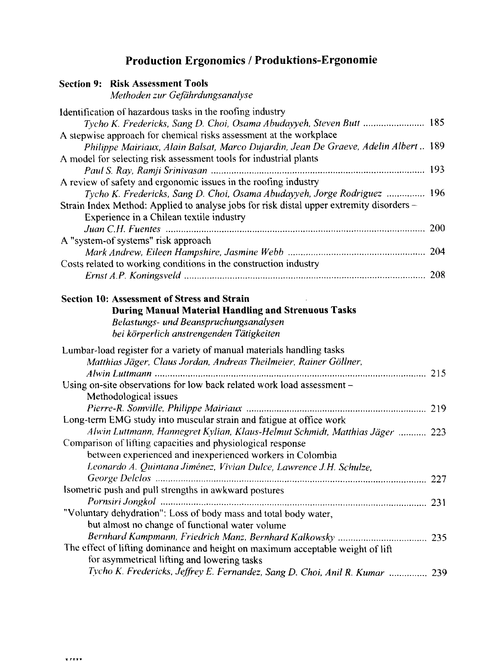# Production Ergonomics / Produktions-Ergonomie

| <b>Section 9: Risk Assessment Tools</b><br>Methoden zur Gefährdungsanalyse                                                                                                                                                                                                    |  |
|-------------------------------------------------------------------------------------------------------------------------------------------------------------------------------------------------------------------------------------------------------------------------------|--|
| Identification of hazardous tasks in the roofing industry<br>Tycho K. Fredericks, Sang D. Choi, Osama Abudayyeh, Steven Butt  185<br>A stepwise approach for chemical risks assessment at the workplace                                                                       |  |
| Philippe Mairiaux, Alain Balsat, Marco Dujardin, Jean De Graeve, Adelin Albert 189<br>A model for selecting risk assessment tools for industrial plants                                                                                                                       |  |
| A review of safety and ergonomic issues in the roofing industry                                                                                                                                                                                                               |  |
| Tycho K. Fredericks, Sang D. Choi, Osama Abudayyeh, Jorge Rodriguez  196<br>Strain Index Method: Applied to analyse jobs for risk distal upper extremity disorders -<br>Experience in a Chilean textile industry                                                              |  |
|                                                                                                                                                                                                                                                                               |  |
| A "system-of systems" risk approach                                                                                                                                                                                                                                           |  |
| Costs related to working conditions in the construction industry                                                                                                                                                                                                              |  |
|                                                                                                                                                                                                                                                                               |  |
| <b>Section 10: Assessment of Stress and Strain</b><br><b>During Manual Material Handling and Strenuous Tasks</b><br>Belastungs- und Beanspruchungsanalysen<br>bei körperlich anstrengenden Tätigkeiten                                                                        |  |
| Lumbar-load register for a variety of manual materials handling tasks<br>Matthias Jäger, Claus Jordan, Andreas Theilmeier, Rainer Göllner,<br>Using on-site observations for low back related work load assessment -<br>Methodological issues                                 |  |
|                                                                                                                                                                                                                                                                               |  |
| Long-term EMG study into muscular strain and fatigue at office work                                                                                                                                                                                                           |  |
| Alwin Luttmann, Hannegret Kylian, Klaus-Helmut Schmidt, Matthias Jäger  223<br>Comparison of lifting capacities and physiological response<br>between experienced and inexperienced workers in Colombia<br>Leonardo A. Quintana Jiménez, Vivian Dulce, Lawrence J.H. Schulze, |  |
|                                                                                                                                                                                                                                                                               |  |
| Isometric push and pull strengths in awkward postures                                                                                                                                                                                                                         |  |
| "Voluntary dehydration": Loss of body mass and total body water,<br>but almost no change of functional water volume                                                                                                                                                           |  |
|                                                                                                                                                                                                                                                                               |  |
| The effect of lifting dominance and height on maximum acceptable weight of lift<br>for asymmetrical lifting and lowering tasks                                                                                                                                                |  |
| Tycho K. Fredericks, Jeffrey E. Fernandez, Sang D. Choi, Anil R. Kumar  239                                                                                                                                                                                                   |  |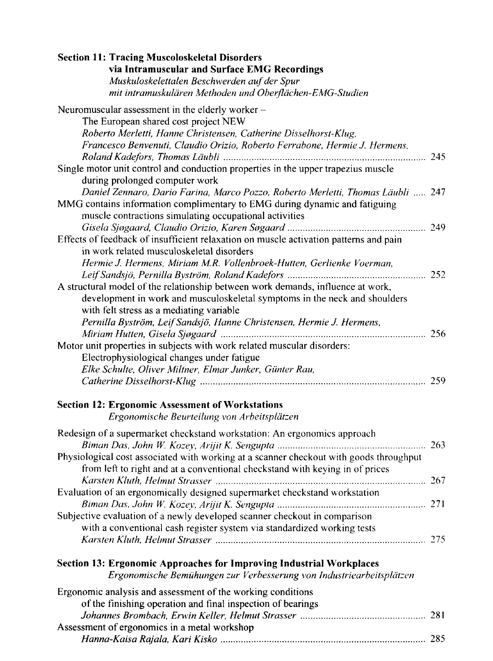| <b>Section 11: Tracing Muscoloskeletal Disorders</b>                                   |  |
|----------------------------------------------------------------------------------------|--|
| via Intramuscular and Surface EMG Recordings                                           |  |
| Muskuloskelettalen Beschwerden auf der Spur                                            |  |
| mit intramuskulären Methoden und Oberflächen-EMG-Studien                               |  |
|                                                                                        |  |
| Neuromuscular assessment in the elderly worker -                                       |  |
| The European shared cost project NEW                                                   |  |
| Roberto Merletti, Hanne Christensen, Catherine Disselhorst-Klug,                       |  |
| Francesco Benvenuti, Claudio Orizio, Roberto Ferrabone, Hermie J. Hermens,             |  |
|                                                                                        |  |
| Single motor unit control and conduction properties in the upper trapezius muscle      |  |
| during prolonged computer work                                                         |  |
|                                                                                        |  |
| Daniel Zennaro, Dario Farina, Marco Pozzo, Roberto Merletti, Thomas Läubli  247        |  |
| MMG contains information complimentary to EMG during dynamic and fatiguing             |  |
| muscle contractions simulating occupational activities                                 |  |
|                                                                                        |  |
| Effects of feedback of insufficient relaxation on muscle activation patterns and pain  |  |
| in work related musculoskeletal disorders                                              |  |
| Hermie J. Hermens, Miriam M.R. Vollenbroek-Hutten, Gerlienke Voerman,                  |  |
|                                                                                        |  |
| A structural model of the relationship between work demands, influence at work,        |  |
| development in work and musculoskeletal symptoms in the neck and shoulders             |  |
| with felt stress as a mediating variable                                               |  |
|                                                                                        |  |
| Pernilla Byström, Leif Sandsjö, Hanne Christensen, Hermie J. Hermens,                  |  |
|                                                                                        |  |
| Motor unit properties in subjects with work related muscular disorders:                |  |
| Electrophysiological changes under fatigue                                             |  |
| Elke Schulte, Oliver Miltner, Elmar Junker, Günter Rau,                                |  |
|                                                                                        |  |
|                                                                                        |  |
| <b>Section 12: Ergonomic Assessment of Workstations</b>                                |  |
| Ergonomische Beurteilung von Arbeitsplätzen                                            |  |
|                                                                                        |  |
| Redesign of a supermarket checkstand workstation: An ergonomics approach               |  |
|                                                                                        |  |
| Physiological cost associated with working at a scanner checkout with goods throughput |  |
| from left to right and at a conventional checkstand with keying in of prices           |  |
|                                                                                        |  |
| Evaluation of an ergonomically designed supermarket checkstand workstation             |  |
|                                                                                        |  |
| Subjective evaluation of a newly developed scanner checkout in comparison              |  |
| with a conventional cash register system via standardized working tests                |  |
|                                                                                        |  |
|                                                                                        |  |
|                                                                                        |  |
| Section 13: Ergonomic Approaches for Improving Industrial Workplaces                   |  |
| Ergonomische Bemühungen zur Verbesserung von Industriearbeitsplätzen                   |  |
| Ergonomic analysis and assessment of the working conditions                            |  |
| of the finishing operation and final inspection of bearings                            |  |
|                                                                                        |  |
| Assessment of ergonomics in a metal workshop                                           |  |
|                                                                                        |  |
|                                                                                        |  |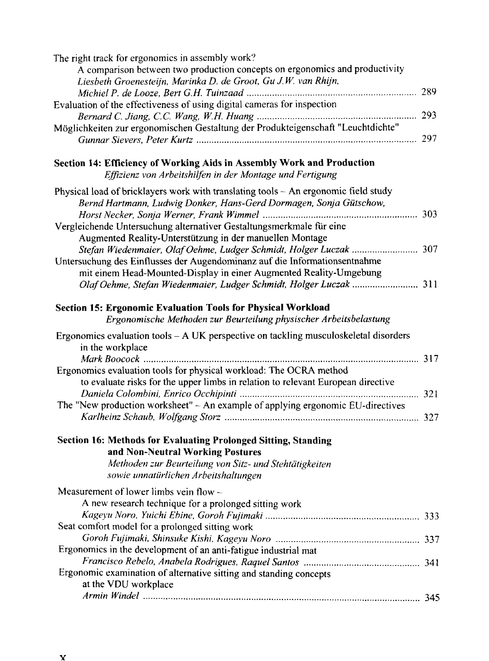| The right track for ergonomics in assembly work?                                                         |  |
|----------------------------------------------------------------------------------------------------------|--|
| A comparison between two production concepts on ergonomics and productivity                              |  |
| Liesbeth Groenesteijn, Marinka D. de Groot, Gu J.W. van Rhijn,                                           |  |
|                                                                                                          |  |
| Evaluation of the effectiveness of using digital cameras for inspection                                  |  |
|                                                                                                          |  |
| Möglichkeiten zur ergonomischen Gestaltung der Produkteigenschaft "Leuchtdichte"                         |  |
|                                                                                                          |  |
| Section 14: Efficiency of Working Aids in Assembly Work and Production                                   |  |
| Effizienz von Arbeitshilfen in der Montage und Fertigung                                                 |  |
| Physical load of bricklayers work with translating tools - An ergonomic field study                      |  |
| Bernd Hartmann, Ludwig Donker, Hans-Gerd Dormagen, Sonja Gütschow,                                       |  |
|                                                                                                          |  |
| Vergleichende Untersuchung alternativer Gestaltungsmerkmale für eine                                     |  |
| Augmented Reality-Unterstützung in der manuellen Montage                                                 |  |
| Stefan Wiedenmaier, Olaf Oehme, Ludger Schmidt, Holger Luczak  307                                       |  |
| Untersuchung des Einflusses der Augendominanz auf die Informationsentnahme                               |  |
| mit einem Head-Mounted-Display in einer Augmented Reality-Umgebung                                       |  |
| Olaf Oehme, Stefan Wiedenmaier, Ludger Schmidt, Holger Luczak  311                                       |  |
| Section 15: Ergonomic Evaluation Tools for Physical Workload                                             |  |
| Ergonomische Methoden zur Beurteilung physischer Arbeitsbelastung                                        |  |
| Ergonomics evaluation tools - A UK perspective on tackling musculoskeletal disorders<br>in the workplace |  |
|                                                                                                          |  |
| Ergonomics evaluation tools for physical workload: The OCRA method                                       |  |
| to evaluate risks for the upper limbs in relation to relevant European directive                         |  |
|                                                                                                          |  |
| The "New production worksheet" - An example of applying ergonomic EU-directives                          |  |
|                                                                                                          |  |
| Section 16: Methods for Evaluating Prolonged Sitting, Standing                                           |  |
| and Non-Neutral Working Postures                                                                         |  |
| Methoden zur Beurteilung von Sitz- und Stehtätigkeiten                                                   |  |
| sowie unnatürlichen Arbeitshaltungen                                                                     |  |
| Measurement of lower limbs vein flow -                                                                   |  |
| A new research technique for a prolonged sitting work                                                    |  |
|                                                                                                          |  |
| Seat comfort model for a prolonged sitting work                                                          |  |
|                                                                                                          |  |
| Ergonomics in the development of an anti-fatigue industrial mat                                          |  |
|                                                                                                          |  |
| Ergonomic examination of alternative sitting and standing concepts                                       |  |
| at the VDU workplace                                                                                     |  |
|                                                                                                          |  |
|                                                                                                          |  |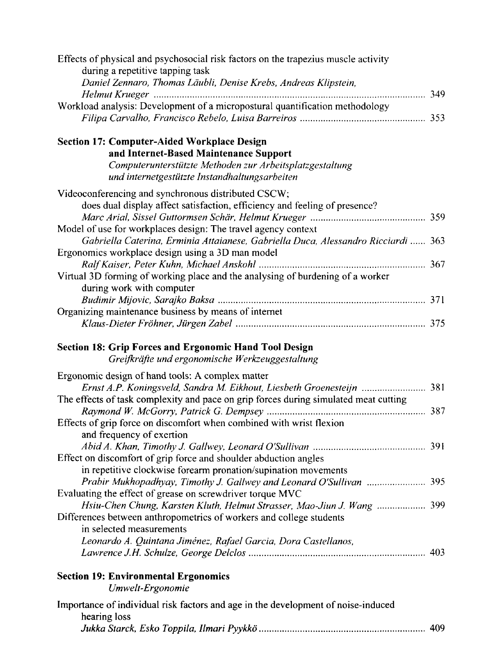| Effects of physical and psychosocial risk factors on the trapezius muscle activity   |  |
|--------------------------------------------------------------------------------------|--|
| during a repetitive tapping task                                                     |  |
| Daniel Zennaro, Thomas Läubli, Denise Krebs, Andreas Klipstein,                      |  |
|                                                                                      |  |
| Workload analysis: Development of a micropostural quantification methodology         |  |
| Section 17: Computer-Aided Workplace Design                                          |  |
| and Internet-Based Maintenance Support                                               |  |
| Computerunterstützte Methoden zur Arbeitsplatzgestaltung                             |  |
| und internetgestützte Instandhaltungsarbeiten                                        |  |
| Videoconferencing and synchronous distributed CSCW;                                  |  |
| does dual display affect satisfaction, efficiency and feeling of presence?           |  |
|                                                                                      |  |
| Model of use for workplaces design: The travel agency context                        |  |
| Gabriella Caterina, Erminia Attaianese, Gabriella Duca, Alessandro Ricciardi  363    |  |
| Ergonomics workplace design using a 3D man model                                     |  |
|                                                                                      |  |
| Virtual 3D forming of working place and the analysing of burdening of a worker       |  |
| during work with computer                                                            |  |
|                                                                                      |  |
| Organizing maintenance business by means of internet                                 |  |
|                                                                                      |  |
| <b>Section 18: Grip Forces and Ergonomic Hand Tool Design</b>                        |  |
| Greifkräfte und ergonomische Werkzeuggestaltung                                      |  |
| Ergonomic design of hand tools: A complex matter                                     |  |
| Ernst A.P. Koningsveld, Sandra M. Eikhout, Liesbeth Groenesteijn  381                |  |
| The effects of task complexity and pace on grip forces during simulated meat cutting |  |
|                                                                                      |  |
| Effects of grip force on discomfort when combined with wrist flexion                 |  |
| and frequency of exertion                                                            |  |
|                                                                                      |  |
| Effect on discomfort of grip force and shoulder abduction angles                     |  |
| in repetitive clockwise forearm pronation/supination movements                       |  |
| Prabir Mukhopadhyay, Timothy J. Gallwey and Leonard O'Sullivan  395                  |  |
| Evaluating the effect of grease on screwdriver torque MVC                            |  |
| Hsiu-Chen Chung, Karsten Kluth, Helmut Strasser, Mao-Jiun J. Wang  399               |  |
| Differences between anthropometrics of workers and college students                  |  |
| in selected measurements                                                             |  |
| Leonardo A. Quintana Jiménez, Rafael Garcia, Dora Castellanos,                       |  |
|                                                                                      |  |
| <b>Section 19: Environmental Ergonomics</b>                                          |  |
| Umwelt-Ergonomie                                                                     |  |
| Importance of individual risk factors and age in the development of noise-induced    |  |
| hearing loss                                                                         |  |
|                                                                                      |  |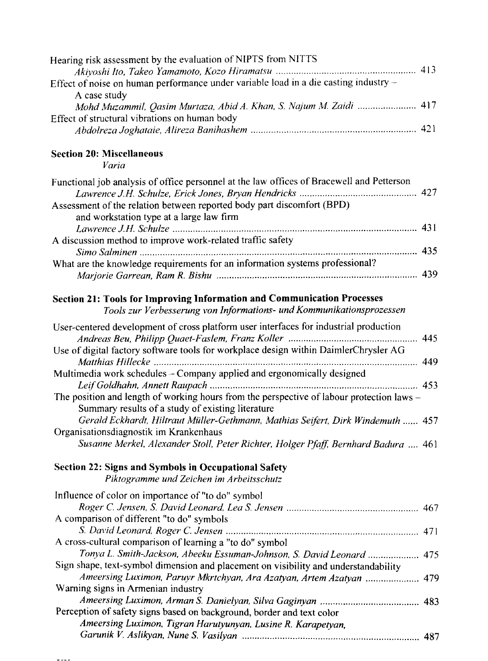| Hearing risk assessment by the evaluation of NIPTS from NITTS                                                                                                                                                                                                                                                          |  |
|------------------------------------------------------------------------------------------------------------------------------------------------------------------------------------------------------------------------------------------------------------------------------------------------------------------------|--|
|                                                                                                                                                                                                                                                                                                                        |  |
| Effect of noise on human performance under variable load in a die casting industry -                                                                                                                                                                                                                                   |  |
| A case study                                                                                                                                                                                                                                                                                                           |  |
| Mohd Muzammil, Qasim Murtaza, Abid A. Khan, S. Najum M. Zaidi  417                                                                                                                                                                                                                                                     |  |
| Effect of structural vibrations on human body                                                                                                                                                                                                                                                                          |  |
|                                                                                                                                                                                                                                                                                                                        |  |
|                                                                                                                                                                                                                                                                                                                        |  |
| <b>Section 20: Miscellaneous</b>                                                                                                                                                                                                                                                                                       |  |
| Varia                                                                                                                                                                                                                                                                                                                  |  |
| Functional job analysis of office personnel at the law offices of Bracewell and Petterson                                                                                                                                                                                                                              |  |
| Assessment of the relation between reported body part discomfort (BPD)                                                                                                                                                                                                                                                 |  |
| and workstation type at a large law firm                                                                                                                                                                                                                                                                               |  |
|                                                                                                                                                                                                                                                                                                                        |  |
| A discussion method to improve work-related traffic safety                                                                                                                                                                                                                                                             |  |
|                                                                                                                                                                                                                                                                                                                        |  |
| What are the knowledge requirements for an information systems professional?                                                                                                                                                                                                                                           |  |
|                                                                                                                                                                                                                                                                                                                        |  |
|                                                                                                                                                                                                                                                                                                                        |  |
| Section 21: Tools for Improving Information and Communication Processes                                                                                                                                                                                                                                                |  |
| Tools zur Verbesserung von Informations- und Kommunikationsprozessen                                                                                                                                                                                                                                                   |  |
| User-centered development of cross platform user interfaces for industrial production                                                                                                                                                                                                                                  |  |
|                                                                                                                                                                                                                                                                                                                        |  |
| Use of digital factory software tools for workplace design within DaimlerChrysler AG<br>Matthias Hillecke manufactured and the control of the control of the control of the control of the control of the control of the control of the control of the control of the control of the control of the control of the con |  |
| Multimedia work schedules - Company applied and ergonomically designed                                                                                                                                                                                                                                                 |  |
|                                                                                                                                                                                                                                                                                                                        |  |
| The position and length of working hours from the perspective of labour protection laws -                                                                                                                                                                                                                              |  |
| Summary results of a study of existing literature                                                                                                                                                                                                                                                                      |  |
| Gerald Eckhardt, Hiltraut Müller-Gethmann, Mathias Seifert, Dirk Windemuth  457                                                                                                                                                                                                                                        |  |
| Organisationsdiagnostik im Krankenhaus                                                                                                                                                                                                                                                                                 |  |
| Susanne Merkel, Alexander Stoll, Peter Richter, Holger Pfaff, Bernhard Badura  461                                                                                                                                                                                                                                     |  |
|                                                                                                                                                                                                                                                                                                                        |  |
| Section 22: Signs and Symbols in Occupational Safety                                                                                                                                                                                                                                                                   |  |
| Piktogramme und Zeichen im Arbeitsschutz                                                                                                                                                                                                                                                                               |  |
| Influence of color on importance of "to do" symbol                                                                                                                                                                                                                                                                     |  |
|                                                                                                                                                                                                                                                                                                                        |  |
| A comparison of different "to do" symbols                                                                                                                                                                                                                                                                              |  |
|                                                                                                                                                                                                                                                                                                                        |  |
| A cross-cultural comparison of learning a "to do" symbol                                                                                                                                                                                                                                                               |  |
| Tonya L. Smith-Jackson, Abeeku Essuman-Johnson, S. David Leonard  475                                                                                                                                                                                                                                                  |  |
| Sign shape, text-symbol dimension and placement on visibility and understandability                                                                                                                                                                                                                                    |  |
| Ameersing Luximon, Paruyr Mkrtchyan, Ara Azatyan, Artem Azatyan<br>479                                                                                                                                                                                                                                                 |  |
| Warning signs in Armenian industry                                                                                                                                                                                                                                                                                     |  |
|                                                                                                                                                                                                                                                                                                                        |  |
| Perception of safety signs based on background, border and text color                                                                                                                                                                                                                                                  |  |
| Ameersing Luximon, Tigran Harutyunyan, Lusine R. Karapetyan,                                                                                                                                                                                                                                                           |  |
|                                                                                                                                                                                                                                                                                                                        |  |
|                                                                                                                                                                                                                                                                                                                        |  |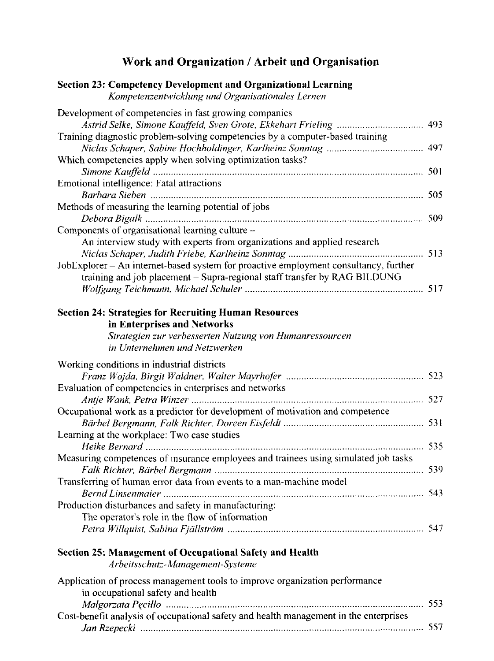# Work and Organization / Arbeit und Organisation

| <b>Section 23: Competency Development and Organizational Learning</b><br>Kompetenzentwicklung und Organisationales Lernen                                                               |  |
|-----------------------------------------------------------------------------------------------------------------------------------------------------------------------------------------|--|
| Development of competencies in fast growing companies                                                                                                                                   |  |
| Training diagnostic problem-solving competencies by a computer-based training                                                                                                           |  |
| Which competencies apply when solving optimization tasks?                                                                                                                               |  |
| <b>Emotional intelligence: Fatal attractions</b>                                                                                                                                        |  |
| Methods of measuring the learning potential of jobs                                                                                                                                     |  |
| Components of organisational learning culture -<br>An interview study with experts from organizations and applied research                                                              |  |
| JobExplorer - An internet-based system for proactive employment consultancy, further<br>training and job placement - Supra-regional staff transfer by RAG BILDUNG                       |  |
|                                                                                                                                                                                         |  |
| <b>Section 24: Strategies for Recruiting Human Resources</b><br>in Enterprises and Networks<br>Strategien zur verbesserten Nutzung von Humanressourcen<br>in Unternehmen und Netzwerken |  |
| Working conditions in industrial districts                                                                                                                                              |  |
| Evaluation of competencies in enterprises and networks                                                                                                                                  |  |
| Occupational work as a predictor for development of motivation and competence                                                                                                           |  |
| Learning at the workplace: Two case studies                                                                                                                                             |  |
| Measuring competences of insurance employees and trainees using simulated job tasks                                                                                                     |  |
| Transferring of human error data from events to a man-machine model                                                                                                                     |  |
| Bernd Linsenmaier manufactured and the state of the state of the state of the S43<br>Production disturbances and safety in manufacturing:                                               |  |
| The operator's role in the flow of information                                                                                                                                          |  |
| <b>Section 25: Management of Occupational Safety and Health</b><br>Arbeitsschutz-Management-Systeme                                                                                     |  |
| Application of process management tools to improve organization performance<br>in occupational safety and health                                                                        |  |
| Malgorzata Pecillo manumummummummummummummummummummum 553<br>Cost-benefit analysis of occupational safety and health management in the enterprises                                      |  |
|                                                                                                                                                                                         |  |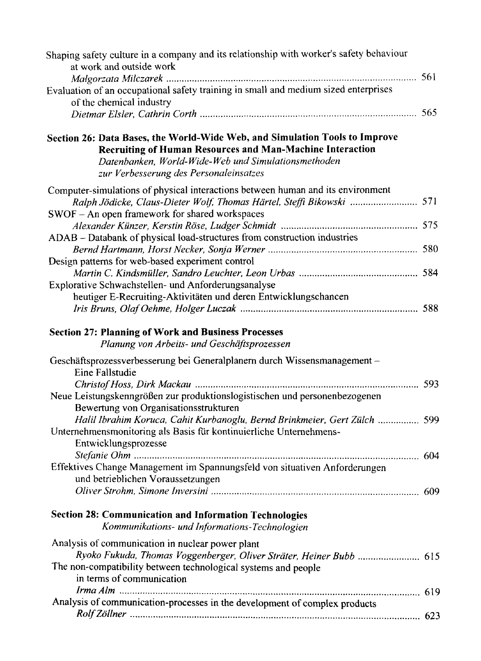| Shaping safety culture in a company and its relationship with worker's safety behaviour<br>at work and outside work                                                                                                                              |  |
|--------------------------------------------------------------------------------------------------------------------------------------------------------------------------------------------------------------------------------------------------|--|
|                                                                                                                                                                                                                                                  |  |
| Evaluation of an occupational safety training in small and medium sized enterprises<br>of the chemical industry                                                                                                                                  |  |
|                                                                                                                                                                                                                                                  |  |
|                                                                                                                                                                                                                                                  |  |
| Section 26: Data Bases, the World-Wide Web, and Simulation Tools to Improve<br><b>Recruiting of Human Resources and Man-Machine Interaction</b><br>Datenbanken, World-Wide-Web und Simulationsmethoden<br>zur Verbesserung des Personaleinsatzes |  |
| Computer-simulations of physical interactions between human and its environment<br>Ralph Jödicke, Claus-Dieter Wolf, Thomas Härtel, Steffi Bikowski  571                                                                                         |  |
| SWOF - An open framework for shared workspaces                                                                                                                                                                                                   |  |
|                                                                                                                                                                                                                                                  |  |
| ADAB - Databank of physical load-structures from construction industries                                                                                                                                                                         |  |
|                                                                                                                                                                                                                                                  |  |
| Design patterns for web-based experiment control                                                                                                                                                                                                 |  |
|                                                                                                                                                                                                                                                  |  |
| Explorative Schwachstellen- und Anforderungsanalyse                                                                                                                                                                                              |  |
| heutiger E-Recruiting-Aktivitäten und deren Entwicklungschancen                                                                                                                                                                                  |  |
|                                                                                                                                                                                                                                                  |  |
| <b>Section 27: Planning of Work and Business Processes</b><br>Planung von Arbeits- und Geschäftsprozessen                                                                                                                                        |  |
| Geschäftsprozessverbesserung bei Generalplanern durch Wissensmanagement-<br>Eine Fallstudie                                                                                                                                                      |  |
| Neue Leistungskenngrößen zur produktionslogistischen und personenbezogenen<br>Bewertung von Organisationsstrukturen                                                                                                                              |  |
| Halil Ibrahim Koruca, Cahit Kurbanoglu, Bernd Brinkmeier, Gert Zülch  599<br>Unternehmensmonitoring als Basis für kontinuierliche Unternehmens-                                                                                                  |  |
| Entwicklungsprozesse                                                                                                                                                                                                                             |  |
| Effektives Change Management im Spannungsfeld von situativen Anforderungen<br>und betrieblichen Voraussetzungen                                                                                                                                  |  |
|                                                                                                                                                                                                                                                  |  |
| <b>Section 28: Communication and Information Technologies</b><br>Kommunikations- und Informations-Technologien                                                                                                                                   |  |
| Analysis of communication in nuclear power plant<br>Ryoko Fukuda, Thomas Voggenberger, Oliver Sträter, Heiner Bubb  615<br>The non-compatibility between technological systems and people                                                        |  |
| in terms of communication                                                                                                                                                                                                                        |  |
|                                                                                                                                                                                                                                                  |  |
| Analysis of communication-processes in the development of complex products                                                                                                                                                                       |  |
|                                                                                                                                                                                                                                                  |  |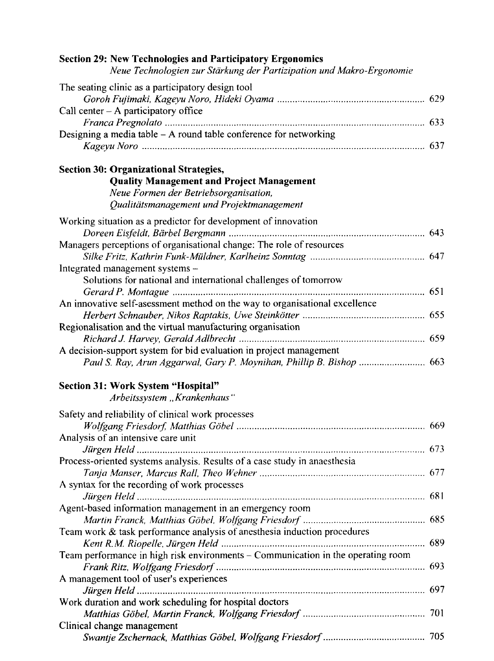| <b>Section 29: New Technologies and Participatory Ergonomics</b><br>Neue Technologien zur Stärkung der Partizipation und Makro-Ergonomie |     |
|------------------------------------------------------------------------------------------------------------------------------------------|-----|
| The seating clinic as a participatory design tool                                                                                        |     |
|                                                                                                                                          |     |
| Call center $-$ A participatory office                                                                                                   |     |
|                                                                                                                                          |     |
| Designing a media table $- A$ round table conference for networking                                                                      |     |
| <b>Section 30: Organizational Strategies,</b>                                                                                            |     |
| <b>Quality Management and Project Management</b>                                                                                         |     |
| Neue Formen der Betriebsorganisation,                                                                                                    |     |
| Qualitätsmanagement und Projektmanagement                                                                                                |     |
| Working situation as a predictor for development of innovation                                                                           |     |
|                                                                                                                                          |     |
| Managers perceptions of organisational change: The role of resources                                                                     |     |
|                                                                                                                                          |     |
| Integrated management systems -                                                                                                          |     |
| Solutions for national and international challenges of tomorrow                                                                          |     |
|                                                                                                                                          |     |
| An innovative self-asessment method on the way to organisational excellence                                                              |     |
|                                                                                                                                          |     |
| Regionalisation and the virtual manufacturing organisation                                                                               |     |
| A decision-support system for bid evaluation in project management                                                                       |     |
| Paul S. Ray, Arun Aggarwal, Gary P. Moynihan, Phillip B. Bishop  663                                                                     |     |
| Section 31: Work System "Hospital"                                                                                                       |     |
| Arbeitssystem "Krankenhaus"                                                                                                              |     |
|                                                                                                                                          |     |
| Safety and reliability of clinical work processes                                                                                        |     |
|                                                                                                                                          |     |
| Analysis of an intensive care unit                                                                                                       |     |
| Process-oriented systems analysis. Results of a case study in anaesthesia                                                                |     |
|                                                                                                                                          |     |
| A syntax for the recording of work processes                                                                                             |     |
|                                                                                                                                          |     |
| Agent-based information management in an emergency room                                                                                  |     |
| Martin Franck, Matthias Göbel, Wolfgang Friesdorf                                                                                        | 685 |
| Team work $\&$ task performance analysis of anesthesia induction procedures                                                              |     |
|                                                                                                                                          |     |
| Team performance in high risk environments - Communication in the operating room                                                         |     |
|                                                                                                                                          |     |
| A management tool of user's experiences                                                                                                  |     |
|                                                                                                                                          |     |
| Work duration and work scheduling for hospital doctors                                                                                   |     |
|                                                                                                                                          |     |
| Clinical change management                                                                                                               |     |
|                                                                                                                                          |     |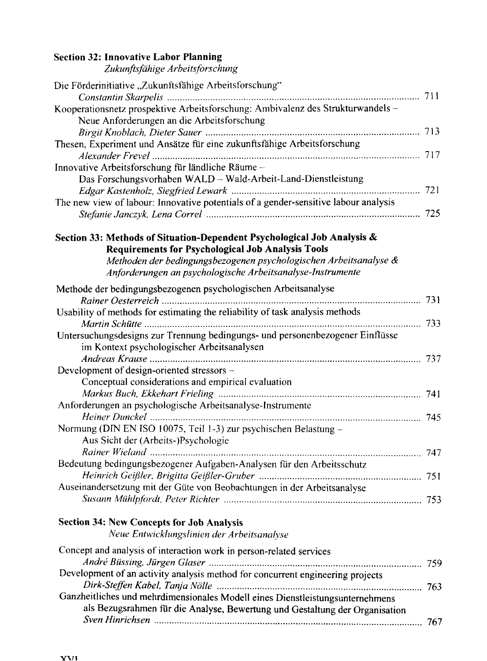#### **Section 32: Innovative Labor Planning**

*Zukunftsfdhige Arbeitsforschung*

| Die Förderinitiative "Zukunftsfähige Arbeitsforschung"                              |  |
|-------------------------------------------------------------------------------------|--|
|                                                                                     |  |
| Kooperationsnetz prospektive Arbeitsforschung: Ambivalenz des Strukturwandels -     |  |
| Neue Anforderungen an die Arbeitsforschung                                          |  |
|                                                                                     |  |
| Thesen, Experiment und Ansätze für eine zukunftsfähige Arbeitsforschung             |  |
|                                                                                     |  |
| Innovative Arbeitsforschung für ländliche Räume -                                   |  |
| Das Forschungsvorhaben WALD -- Wald-Arbeit-Land-Dienstleistung                      |  |
|                                                                                     |  |
| The new view of labour: Innovative potentials of a gender-sensitive labour analysis |  |
|                                                                                     |  |
|                                                                                     |  |
| Section 33: Methods of Situation-Dependent Psychological Job Analysis &             |  |
| <b>Requirements for Psychological Job Analysis Tools</b>                            |  |
| Methoden der bedingungsbezogenen psychologischen Arbeitsanalyse &                   |  |
| Anforderungen an psychologische Arbeitsanalyse-Instrumente                          |  |
| Methode der bedingungsbezogenen psychologischen Arbeitsanalyse                      |  |
|                                                                                     |  |
| Usability of methods for estimating the reliability of task analysis methods        |  |
|                                                                                     |  |
| Untersuchungsdesigns zur Trennung bedingungs- und personenbezogener Einflüsse       |  |
| im Kontext psychologischer Arbeitsanalysen                                          |  |
|                                                                                     |  |
| Development of design-oriented stressors -                                          |  |
| Conceptual considerations and empirical evaluation                                  |  |
|                                                                                     |  |
|                                                                                     |  |
| Anforderungen an psychologische Arbeitsanalyse-Instrumente                          |  |
|                                                                                     |  |
| Normung (DIN EN ISO 10075, Teil 1-3) zur psychischen Belastung -                    |  |
| Aus Sicht der (Arbeits-)Psychologie                                                 |  |
|                                                                                     |  |
| Bedeutung bedingungsbezogener Aufgaben-Analysen für den Arbeitsschutz               |  |
|                                                                                     |  |
| Auseinandersetzung mit der Güte von Beobachtungen in der Arbeitsanalyse             |  |
|                                                                                     |  |
|                                                                                     |  |
| <b>Section 34: New Concepts for Job Analysis</b>                                    |  |
| Neue Entwicklungslinien der Arbeitsanalyse                                          |  |
| Concept and analysis of interaction work in person-related services                 |  |
|                                                                                     |  |
| Development of an activity analysis method for concurrent engineering projects      |  |
|                                                                                     |  |
| Ganzheitliches und mehrdimensionales Modell eines Dienstleistungsunternehmens       |  |
| als Bezugsrahmen für die Analyse, Bewertung und Gestaltung der Organisation         |  |
|                                                                                     |  |
|                                                                                     |  |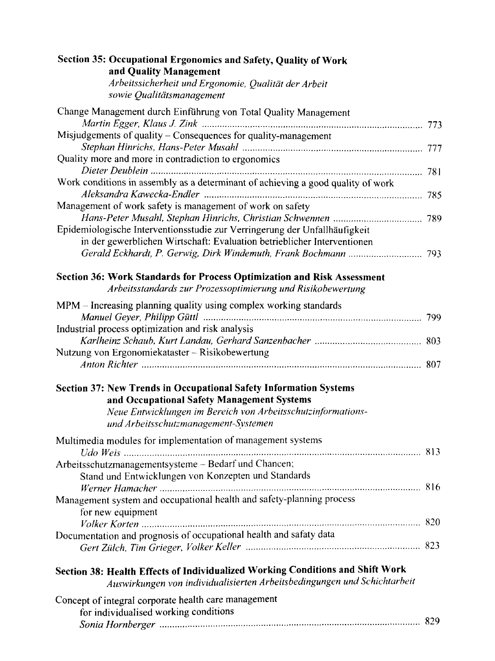| Section 35: Occupational Ergonomics and Safety, Quality of Work<br>and Quality Management                                                                  |  |
|------------------------------------------------------------------------------------------------------------------------------------------------------------|--|
| Arbeitssicherheit und Ergonomie, Qualität der Arbeit<br>sowie Qualitätsmanagement                                                                          |  |
| Change Management durch Einführung von Total Quality Management                                                                                            |  |
| Misjudgements of quality – Consequences for quality-management                                                                                             |  |
|                                                                                                                                                            |  |
| Quality more and more in contradiction to ergonomics                                                                                                       |  |
|                                                                                                                                                            |  |
| Work conditions in assembly as a determinant of achieving a good quality of work                                                                           |  |
| Management of work safety is management of work on safety                                                                                                  |  |
|                                                                                                                                                            |  |
| Epidemiologische Interventionsstudie zur Verringerung der Unfallhäufigkeit<br>in der gewerblichen Wirtschaft: Evaluation betrieblicher Interventionen      |  |
|                                                                                                                                                            |  |
| Section 36: Work Standards for Process Optimization and Risk Assessment<br>Arbeitsstandards zur Prozessoptimierung und Risikobewertung                     |  |
| MPM - Increasing planning quality using complex working standards                                                                                          |  |
|                                                                                                                                                            |  |
| Industrial process optimization and risk analysis                                                                                                          |  |
|                                                                                                                                                            |  |
| Nutzung von Ergonomiekataster - Risikobewertung                                                                                                            |  |
| <b>Section 37: New Trends in Occupational Safety Information Systems</b>                                                                                   |  |
| and Occupational Safety Management Systems                                                                                                                 |  |
| Neue Entwicklungen im Bereich von Arbeitsschutzinformations-                                                                                               |  |
| und Arbeitsschutzmanagement-Systemen                                                                                                                       |  |
| Multimedia modules for implementation of management systems                                                                                                |  |
| Arbeitsschutzmanagementsysteme - Bedarf und Chancen;                                                                                                       |  |
| Stand und Entwicklungen von Konzepten und Standards                                                                                                        |  |
|                                                                                                                                                            |  |
| Management system and occupational health and safety-planning process<br>for new equipment                                                                 |  |
|                                                                                                                                                            |  |
| Documentation and prognosis of occupational health and safaty data                                                                                         |  |
|                                                                                                                                                            |  |
| Section 38: Health Effects of Individualized Working Conditions and Shift Work<br>Auswirkungen von individualisierten Arbeitsbedingungen und Schichtarbeit |  |
| Concept of integral corporate health care management                                                                                                       |  |
| for individualised working conditions                                                                                                                      |  |
|                                                                                                                                                            |  |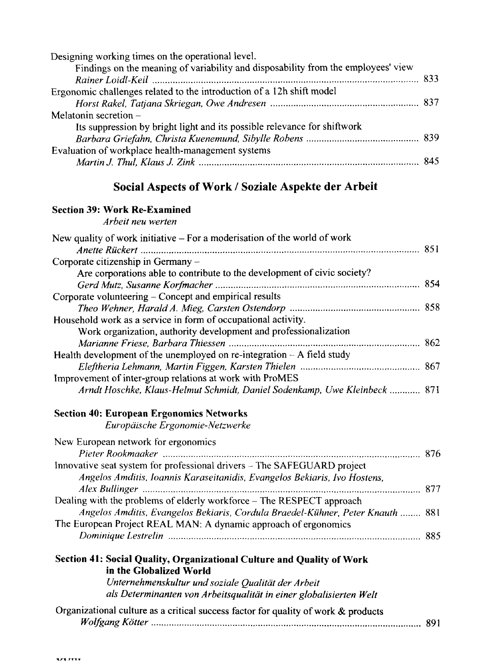### Social Aspects of Work / Soziale Aspekte der Arbeit

### **Section 39: Work Re-Examined**

*Arbeit neu werten*

| New quality of work initiative $-$ For a moderisation of the world of work                        |  |
|---------------------------------------------------------------------------------------------------|--|
|                                                                                                   |  |
| Corporate citizenship in Germany -                                                                |  |
| Are corporations able to contribute to the development of civic society?                          |  |
|                                                                                                   |  |
| Corporate volunteering - Concept and empirical results                                            |  |
|                                                                                                   |  |
| Household work as a service in form of occupational activity.                                     |  |
| Work organization, authority development and professionalization                                  |  |
|                                                                                                   |  |
| Health development of the unemployed on re-integration $-A$ field study                           |  |
|                                                                                                   |  |
| Improvement of inter-group relations at work with ProMES                                          |  |
| Arndt Hoschke, Klaus-Helmut Schmidt, Daniel Sodenkamp, Uwe Kleinbeck  871                         |  |
| <b>Section 40: European Ergonomics Networks</b>                                                   |  |
| Europäische Ergonomie-Netzwerke                                                                   |  |
| New European network for ergonomics                                                               |  |
|                                                                                                   |  |
| Innovative seat system for professional drivers - The SAFEGUARD project                           |  |
| Angelos Amditis, Ioannis Karaseitanidis, Evangelos Bekiaris, Ivo Hostens,                         |  |
|                                                                                                   |  |
| Dealing with the problems of elderly workforce – The RESPECT approach                             |  |
| Angelos Amditis, Evangelos Bekiaris, Cordula Braedel-Kühner, Peter Knauth  881                    |  |
| The European Project REAL MAN: A dynamic approach of ergonomics                                   |  |
|                                                                                                   |  |
| Section 41: Social Quality, Organizational Culture and Quality of Work<br>in the Globalized World |  |
| Unternehmenskultur und soziale Qualität der Arbeit                                                |  |
| als Determinanten von Arbeitsqualität in einer globalisierten Welt                                |  |
| Organizational culture as a critical success factor for quality of work & products                |  |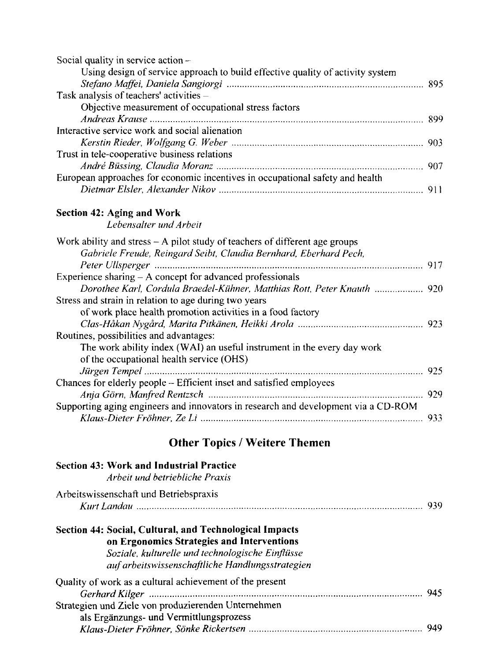| Social quality in service action -                                             |  |
|--------------------------------------------------------------------------------|--|
| Using design of service approach to build effective quality of activity system |  |
|                                                                                |  |
| Task analysis of teachers' activities -                                        |  |
| Objective measurement of occupational stress factors                           |  |
|                                                                                |  |
| Interactive service work and social alienation                                 |  |
|                                                                                |  |
| Trust in tele-cooperative business relations                                   |  |
|                                                                                |  |
| European approaches for economic incentives in occupational safety and health  |  |
|                                                                                |  |

#### **Section 42: Aging and Work**

*Lebensalter und Arbeit*

| Work ability and stress $-$ A pilot study of teachers of different age groups      |     |
|------------------------------------------------------------------------------------|-----|
| Gabriele Freude, Reingard Seibt, Claudia Bernhard, Eberhard Pech,                  |     |
|                                                                                    |     |
| Experience sharing $- A$ concept for advanced professionals                        |     |
| Dorothee Karl, Cordula Braedel-Kühner, Matthias Rott, Peter Knauth  920            |     |
| Stress and strain in relation to age during two years                              |     |
| of work place health promotion activities in a food factory                        |     |
|                                                                                    |     |
| Routines, possibilities and advantages:                                            |     |
| The work ability index (WAI) an useful instrument in the every day work            |     |
| of the occupational health service (OHS)                                           |     |
|                                                                                    |     |
| Chances for elderly people – Efficient inset and satisfied employees               |     |
|                                                                                    |     |
| Supporting aging engineers and innovators in research and development via a CD-ROM |     |
|                                                                                    | 933 |

# Other Topics / Weitere Themen

| <b>Section 43: Work and Industrial Practice</b><br>Arbeit und betriebliche Praxis                                                                                                                             |  |
|---------------------------------------------------------------------------------------------------------------------------------------------------------------------------------------------------------------|--|
| Arbeitswissenschaft und Betriebspraxis                                                                                                                                                                        |  |
| Section 44: Social, Cultural, and Technological Impacts<br>on Ergonomics Strategies and Interventions<br>Soziale, kulturelle und technologische Einflüsse<br>auf arbeitswissenschaftliche Handlungsstrategien |  |
| Quality of work as a cultural achievement of the present                                                                                                                                                      |  |
| Strategien und Ziele von produzierenden Unternehmen<br>als Ergänzungs- und Vermittlungsprozess                                                                                                                |  |
|                                                                                                                                                                                                               |  |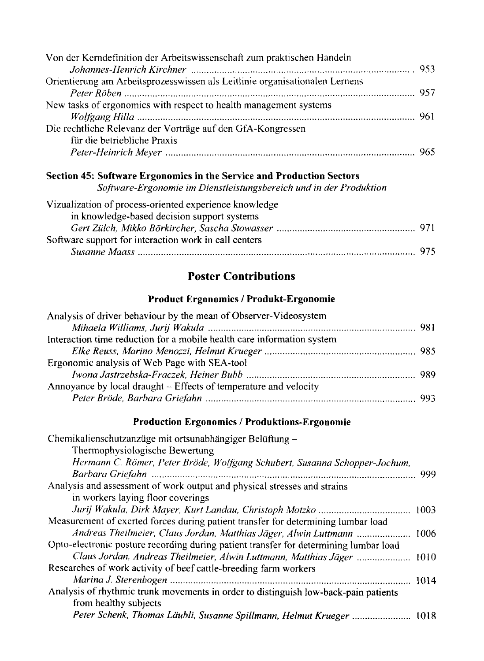| Von der Kerndefinition der Arbeitswissenschaft zum praktischen Handeln      |  |
|-----------------------------------------------------------------------------|--|
| Orientierung am Arbeitsprozesswissen als Leitlinie organisationalen Lernens |  |
|                                                                             |  |
| New tasks of ergonomics with respect to health management systems           |  |
|                                                                             |  |
| Die rechtliche Relevanz der Vorträge auf den GfA-Kongressen                 |  |
| für die betriebliche Praxis                                                 |  |
|                                                                             |  |

#### **Section 45: Software Ergonomics in the Service and Production Sectors**

*Software-Ergonomie im Dienstleistungsbereich und in der Produktion*

| Vizualization of process-oriented experience knowledge |  |
|--------------------------------------------------------|--|
| in knowledge-based decision support systems            |  |
|                                                        |  |
| Software support for interaction work in call centers  |  |
|                                                        |  |

### Poster Contributions

#### **Product Ergonomics / Produkt-Ergonomie**

| Analysis of driver behaviour by the mean of Observer-Videosystem       |  |
|------------------------------------------------------------------------|--|
|                                                                        |  |
| Interaction time reduction for a mobile health care information system |  |
|                                                                        |  |
| Ergonomic analysis of Web Page with SEA-tool                           |  |
|                                                                        |  |
| Annoyance by local draught – Effects of temperature and velocity       |  |
|                                                                        |  |
|                                                                        |  |

#### **Production Ergonomics / Produktions-Ergonomie**

| Chemikalienschutzanzüge mit ortsunabhängiger Belüftung -                              |     |
|---------------------------------------------------------------------------------------|-----|
| Thermophysiologische Bewertung                                                        |     |
| Hermann C. Römer, Peter Bröde, Wolfgang Schubert, Susanna Schopper-Jochum,            |     |
|                                                                                       | 999 |
| Analysis and assessment of work output and physical stresses and strains              |     |
| in workers laying floor coverings                                                     |     |
|                                                                                       |     |
| Measurement of exerted forces during patient transfer for determining lumbar load     |     |
| Andreas Theilmeier, Claus Jordan, Matthias Jäger, Alwin Luttmann  1006                |     |
| Opto-electronic posture recording during patient transfer for determining lumbar load |     |
| Claus Jordan, Andreas Theilmeier, Alwin Luttmann, Matthias Jäger  1010                |     |
| Researches of work activity of beef cattle-breeding farm workers                      |     |
|                                                                                       |     |
| Analysis of rhythmic trunk movements in order to distinguish low-back-pain patients   |     |
| from healthy subjects                                                                 |     |
| Peter Schenk, Thomas Läubli, Susanne Spillmann, Helmut Krueger  1018                  |     |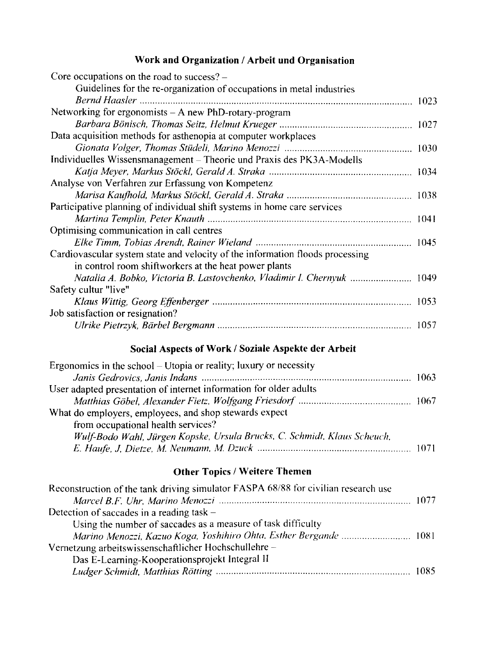#### **Work and Organization / Arbeit und Organisation**

| Core occupations on the road to success? -                                    |  |
|-------------------------------------------------------------------------------|--|
| Guidelines for the re-organization of occupations in metal industries         |  |
|                                                                               |  |
| Networking for ergonomists - A new PhD-rotary-program                         |  |
|                                                                               |  |
| Data acquisition methods for asthenopia at computer workplaces                |  |
|                                                                               |  |
| Individuelles Wissensmanagement – Theorie und Praxis des PK3A-Modells         |  |
|                                                                               |  |
| Analyse von Verfahren zur Erfassung von Kompetenz                             |  |
|                                                                               |  |
| Participative planning of individual shift systems in home care services      |  |
|                                                                               |  |
| Optimising communication in call centres                                      |  |
|                                                                               |  |
| Cardiovascular system state and velocity of the information floods processing |  |
| in control room shiftworkers at the heat power plants                         |  |
| Natalia A. Bobko, Victoria B. Lastovchenko, Vladimir I. Chernyuk  1049        |  |
| Safety cultur "live"                                                          |  |
|                                                                               |  |
| Job satisfaction or resignation?                                              |  |
|                                                                               |  |
|                                                                               |  |

### **Social Aspects of Work / Soziale Aspekte der Arbeit**

| Ergonomics in the school $-$ Utopia or reality; luxury or necessity      |  |
|--------------------------------------------------------------------------|--|
|                                                                          |  |
| User adapted presentation of internet information for older adults       |  |
|                                                                          |  |
| What do employers, employees, and shop stewards expect                   |  |
| from occupational health services?                                       |  |
| Wulf-Bodo Wahl, Jürgen Kopske, Ursula Brucks, C. Schmidt, Klaus Scheuch, |  |
|                                                                          |  |

### **Other Topics / Weitere Themen**

| Marino Menozzi, Kazuo Koga, Yoshihiro Ohta, Esther Bergande  1081 |
|-------------------------------------------------------------------|
|                                                                   |
|                                                                   |
|                                                                   |
|                                                                   |